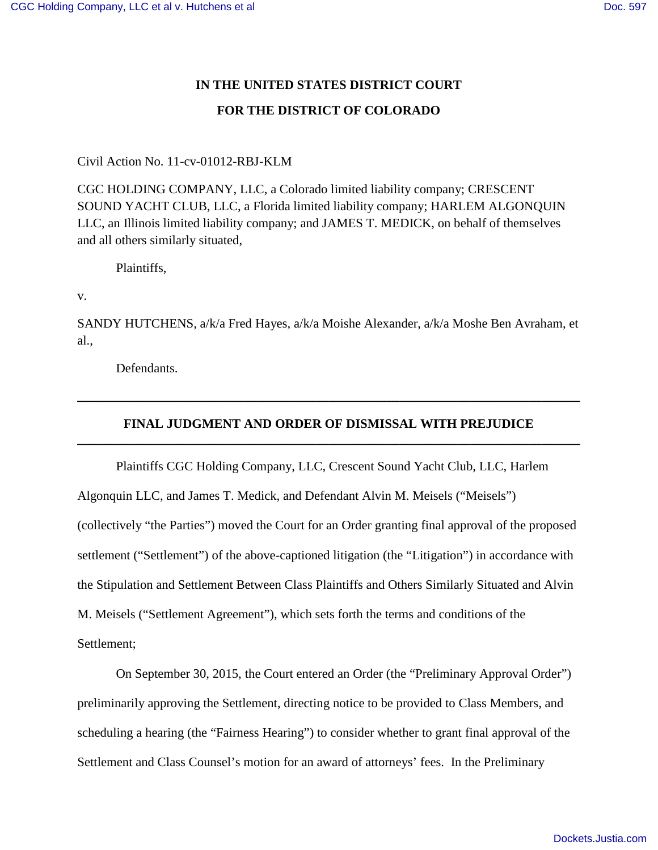## **IN THE UNITED STATES DISTRICT COURT FOR THE DISTRICT OF COLORADO**

Civil Action No. 11-cv-01012-RBJ-KLM

CGC HOLDING COMPANY, LLC, a Colorado limited liability company; CRESCENT SOUND YACHT CLUB, LLC, a Florida limited liability company; HARLEM ALGONQUIN LLC, an Illinois limited liability company; and JAMES T. MEDICK, on behalf of themselves and all others similarly situated,

Plaintiffs,

v.

SANDY HUTCHENS, a/k/a Fred Hayes, a/k/a Moishe Alexander, a/k/a Moshe Ben Avraham, et al.,

Defendants.

## **FINAL JUDGMENT AND ORDER OF DISMISSAL WITH PREJUDICE \_\_\_\_\_\_\_\_\_\_\_\_\_\_\_\_\_\_\_\_\_\_\_\_\_\_\_\_\_\_\_\_\_\_\_\_\_\_\_\_\_\_\_\_\_\_\_\_\_\_\_\_\_\_\_\_\_\_\_\_\_\_\_\_\_\_\_\_\_\_\_\_\_\_\_\_\_\_**

**\_\_\_\_\_\_\_\_\_\_\_\_\_\_\_\_\_\_\_\_\_\_\_\_\_\_\_\_\_\_\_\_\_\_\_\_\_\_\_\_\_\_\_\_\_\_\_\_\_\_\_\_\_\_\_\_\_\_\_\_\_\_\_\_\_\_\_\_\_\_\_\_\_\_\_\_\_\_** 

Plaintiffs CGC Holding Company, LLC, Crescent Sound Yacht Club, LLC, Harlem Algonquin LLC, and James T. Medick, and Defendant Alvin M. Meisels ("Meisels") (collectively "the Parties") moved the Court for an Order granting final approval of the proposed settlement ("Settlement") of the above-captioned litigation (the "Litigation") in accordance with the Stipulation and Settlement Between Class Plaintiffs and Others Similarly Situated and Alvin M. Meisels ("Settlement Agreement"), which sets forth the terms and conditions of the Settlement;

On September 30, 2015, the Court entered an Order (the "Preliminary Approval Order") preliminarily approving the Settlement, directing notice to be provided to Class Members, and scheduling a hearing (the "Fairness Hearing") to consider whether to grant final approval of the Settlement and Class Counsel's motion for an award of attorneys' fees. In the Preliminary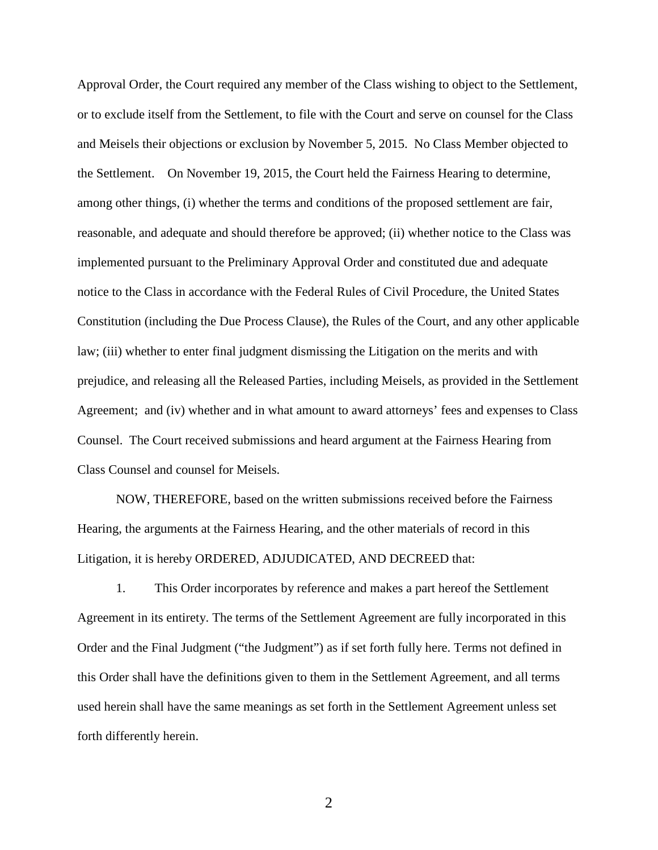Approval Order, the Court required any member of the Class wishing to object to the Settlement, or to exclude itself from the Settlement, to file with the Court and serve on counsel for the Class and Meisels their objections or exclusion by November 5, 2015. No Class Member objected to the Settlement. On November 19, 2015, the Court held the Fairness Hearing to determine, among other things, (i) whether the terms and conditions of the proposed settlement are fair, reasonable, and adequate and should therefore be approved; (ii) whether notice to the Class was implemented pursuant to the Preliminary Approval Order and constituted due and adequate notice to the Class in accordance with the Federal Rules of Civil Procedure, the United States Constitution (including the Due Process Clause), the Rules of the Court, and any other applicable law; (iii) whether to enter final judgment dismissing the Litigation on the merits and with prejudice, and releasing all the Released Parties, including Meisels, as provided in the Settlement Agreement; and (iv) whether and in what amount to award attorneys' fees and expenses to Class Counsel. The Court received submissions and heard argument at the Fairness Hearing from Class Counsel and counsel for Meisels.

NOW, THEREFORE, based on the written submissions received before the Fairness Hearing, the arguments at the Fairness Hearing, and the other materials of record in this Litigation, it is hereby ORDERED, ADJUDICATED, AND DECREED that:

1. This Order incorporates by reference and makes a part hereof the Settlement Agreement in its entirety. The terms of the Settlement Agreement are fully incorporated in this Order and the Final Judgment ("the Judgment") as if set forth fully here. Terms not defined in this Order shall have the definitions given to them in the Settlement Agreement, and all terms used herein shall have the same meanings as set forth in the Settlement Agreement unless set forth differently herein.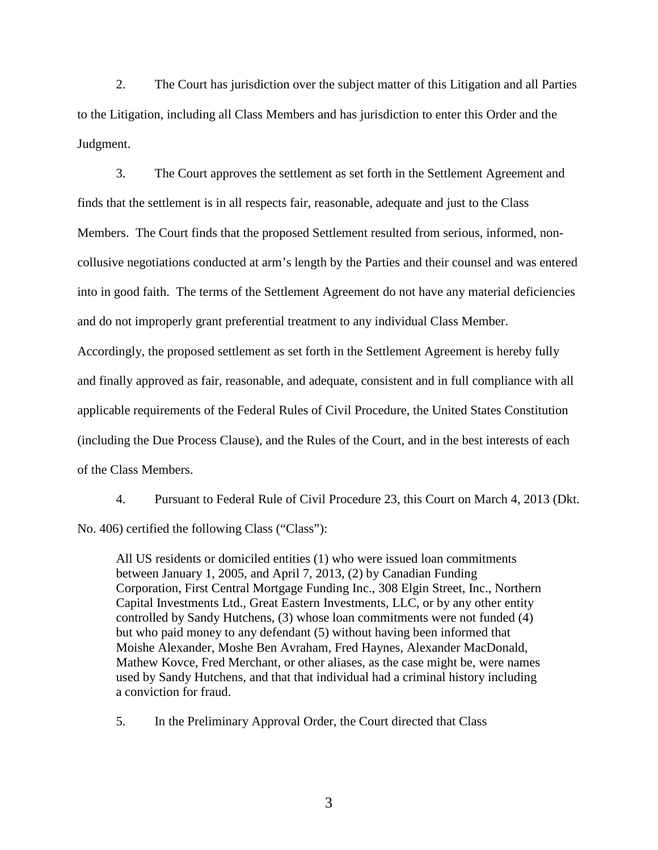2. The Court has jurisdiction over the subject matter of this Litigation and all Parties to the Litigation, including all Class Members and has jurisdiction to enter this Order and the Judgment.

3. The Court approves the settlement as set forth in the Settlement Agreement and finds that the settlement is in all respects fair, reasonable, adequate and just to the Class Members. The Court finds that the proposed Settlement resulted from serious, informed, noncollusive negotiations conducted at arm's length by the Parties and their counsel and was entered into in good faith. The terms of the Settlement Agreement do not have any material deficiencies and do not improperly grant preferential treatment to any individual Class Member.

Accordingly, the proposed settlement as set forth in the Settlement Agreement is hereby fully and finally approved as fair, reasonable, and adequate, consistent and in full compliance with all applicable requirements of the Federal Rules of Civil Procedure, the United States Constitution (including the Due Process Clause), and the Rules of the Court, and in the best interests of each of the Class Members.

4. Pursuant to Federal Rule of Civil Procedure 23, this Court on March 4, 2013 (Dkt. No. 406) certified the following Class ("Class"):

All US residents or domiciled entities (1) who were issued loan commitments between January 1, 2005, and April 7, 2013, (2) by Canadian Funding Corporation, First Central Mortgage Funding Inc., 308 Elgin Street, Inc., Northern Capital Investments Ltd., Great Eastern Investments, LLC, or by any other entity controlled by Sandy Hutchens, (3) whose loan commitments were not funded (4) but who paid money to any defendant (5) without having been informed that Moishe Alexander, Moshe Ben Avraham, Fred Haynes, Alexander MacDonald, Mathew Kovce, Fred Merchant, or other aliases, as the case might be, were names used by Sandy Hutchens, and that that individual had a criminal history including a conviction for fraud.

5. In the Preliminary Approval Order, the Court directed that Class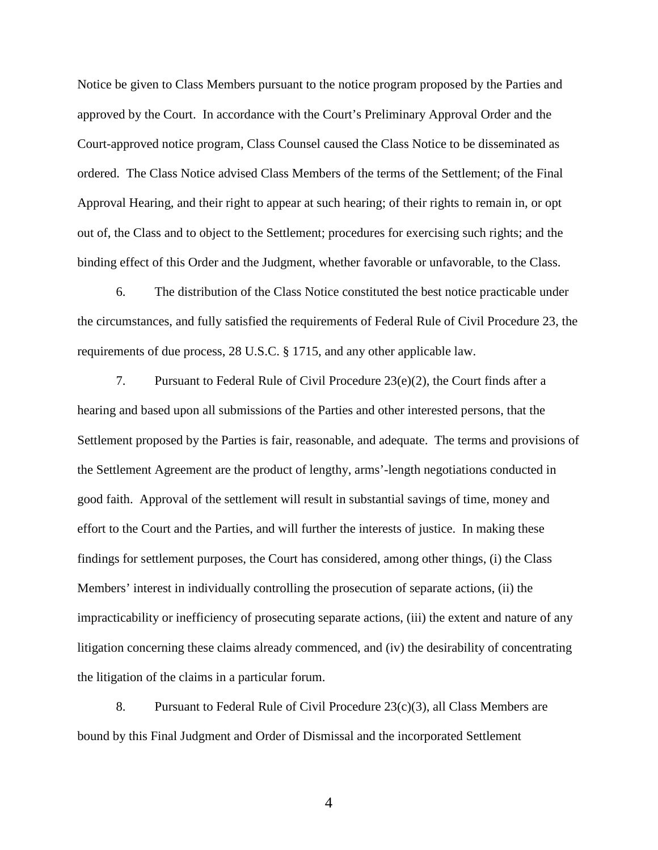Notice be given to Class Members pursuant to the notice program proposed by the Parties and approved by the Court. In accordance with the Court's Preliminary Approval Order and the Court-approved notice program, Class Counsel caused the Class Notice to be disseminated as ordered. The Class Notice advised Class Members of the terms of the Settlement; of the Final Approval Hearing, and their right to appear at such hearing; of their rights to remain in, or opt out of, the Class and to object to the Settlement; procedures for exercising such rights; and the binding effect of this Order and the Judgment, whether favorable or unfavorable, to the Class.

6. The distribution of the Class Notice constituted the best notice practicable under the circumstances, and fully satisfied the requirements of Federal Rule of Civil Procedure 23, the requirements of due process, 28 U.S.C. § 1715, and any other applicable law.

7. Pursuant to Federal Rule of Civil Procedure 23(e)(2), the Court finds after a hearing and based upon all submissions of the Parties and other interested persons, that the Settlement proposed by the Parties is fair, reasonable, and adequate. The terms and provisions of the Settlement Agreement are the product of lengthy, arms'-length negotiations conducted in good faith. Approval of the settlement will result in substantial savings of time, money and effort to the Court and the Parties, and will further the interests of justice. In making these findings for settlement purposes, the Court has considered, among other things, (i) the Class Members' interest in individually controlling the prosecution of separate actions, (ii) the impracticability or inefficiency of prosecuting separate actions, (iii) the extent and nature of any litigation concerning these claims already commenced, and (iv) the desirability of concentrating the litigation of the claims in a particular forum.

8. Pursuant to Federal Rule of Civil Procedure 23(c)(3), all Class Members are bound by this Final Judgment and Order of Dismissal and the incorporated Settlement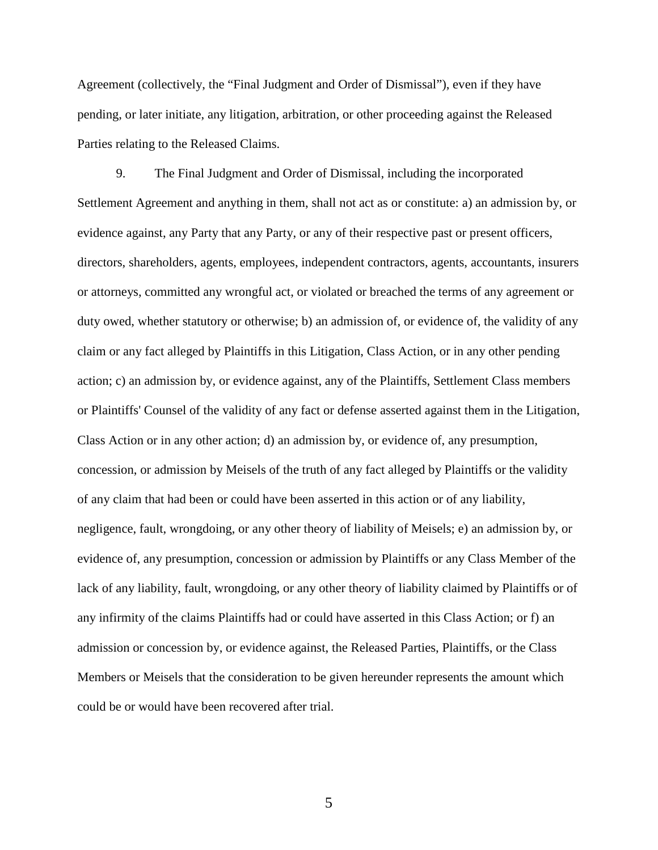Agreement (collectively, the "Final Judgment and Order of Dismissal"), even if they have pending, or later initiate, any litigation, arbitration, or other proceeding against the Released Parties relating to the Released Claims.

9. The Final Judgment and Order of Dismissal, including the incorporated Settlement Agreement and anything in them, shall not act as or constitute: a) an admission by, or evidence against, any Party that any Party, or any of their respective past or present officers, directors, shareholders, agents, employees, independent contractors, agents, accountants, insurers or attorneys, committed any wrongful act, or violated or breached the terms of any agreement or duty owed, whether statutory or otherwise; b) an admission of, or evidence of, the validity of any claim or any fact alleged by Plaintiffs in this Litigation, Class Action, or in any other pending action; c) an admission by, or evidence against, any of the Plaintiffs, Settlement Class members or Plaintiffs' Counsel of the validity of any fact or defense asserted against them in the Litigation, Class Action or in any other action; d) an admission by, or evidence of, any presumption, concession, or admission by Meisels of the truth of any fact alleged by Plaintiffs or the validity of any claim that had been or could have been asserted in this action or of any liability, negligence, fault, wrongdoing, or any other theory of liability of Meisels; e) an admission by, or evidence of, any presumption, concession or admission by Plaintiffs or any Class Member of the lack of any liability, fault, wrongdoing, or any other theory of liability claimed by Plaintiffs or of any infirmity of the claims Plaintiffs had or could have asserted in this Class Action; or f) an admission or concession by, or evidence against, the Released Parties, Plaintiffs, or the Class Members or Meisels that the consideration to be given hereunder represents the amount which could be or would have been recovered after trial.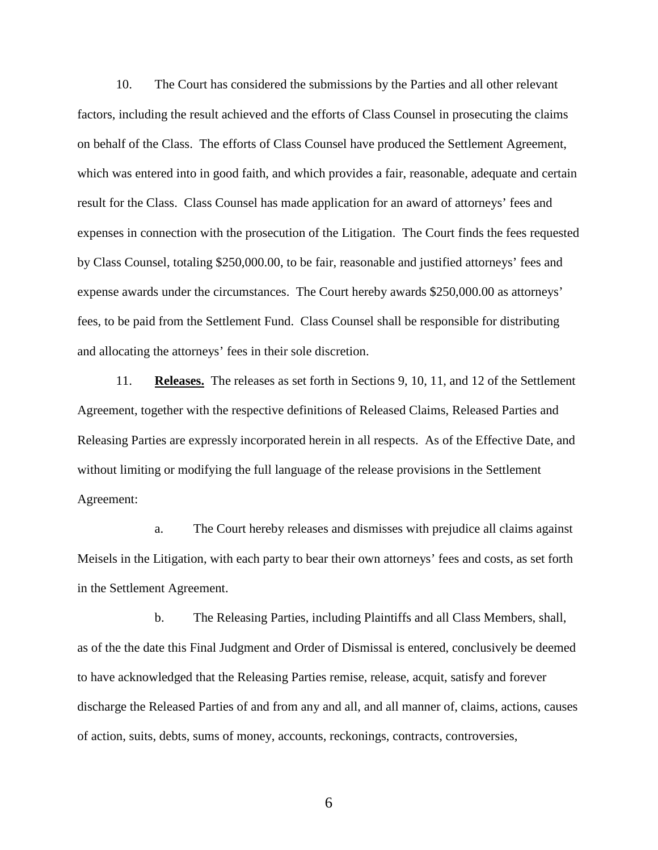10. The Court has considered the submissions by the Parties and all other relevant factors, including the result achieved and the efforts of Class Counsel in prosecuting the claims on behalf of the Class. The efforts of Class Counsel have produced the Settlement Agreement, which was entered into in good faith, and which provides a fair, reasonable, adequate and certain result for the Class. Class Counsel has made application for an award of attorneys' fees and expenses in connection with the prosecution of the Litigation. The Court finds the fees requested by Class Counsel, totaling \$250,000.00, to be fair, reasonable and justified attorneys' fees and expense awards under the circumstances. The Court hereby awards \$250,000.00 as attorneys' fees, to be paid from the Settlement Fund. Class Counsel shall be responsible for distributing and allocating the attorneys' fees in their sole discretion.

11. **Releases.** The releases as set forth in Sections 9, 10, 11, and 12 of the Settlement Agreement, together with the respective definitions of Released Claims, Released Parties and Releasing Parties are expressly incorporated herein in all respects. As of the Effective Date, and without limiting or modifying the full language of the release provisions in the Settlement Agreement:

a. The Court hereby releases and dismisses with prejudice all claims against Meisels in the Litigation, with each party to bear their own attorneys' fees and costs, as set forth in the Settlement Agreement.

b. The Releasing Parties, including Plaintiffs and all Class Members, shall, as of the the date this Final Judgment and Order of Dismissal is entered, conclusively be deemed to have acknowledged that the Releasing Parties remise, release, acquit, satisfy and forever discharge the Released Parties of and from any and all, and all manner of, claims, actions, causes of action, suits, debts, sums of money, accounts, reckonings, contracts, controversies,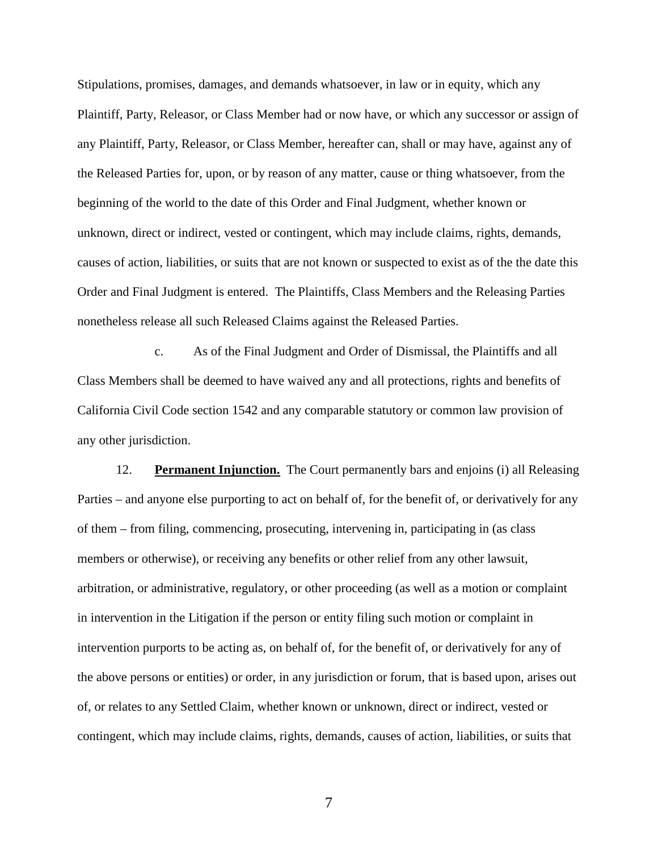Stipulations, promises, damages, and demands whatsoever, in law or in equity, which any Plaintiff, Party, Releasor, or Class Member had or now have, or which any successor or assign of any Plaintiff, Party, Releasor, or Class Member, hereafter can, shall or may have, against any of the Released Parties for, upon, or by reason of any matter, cause or thing whatsoever, from the beginning of the world to the date of this Order and Final Judgment, whether known or unknown, direct or indirect, vested or contingent, which may include claims, rights, demands, causes of action, liabilities, or suits that are not known or suspected to exist as of the the date this Order and Final Judgment is entered. The Plaintiffs, Class Members and the Releasing Parties nonetheless release all such Released Claims against the Released Parties.

c. As of the Final Judgment and Order of Dismissal, the Plaintiffs and all Class Members shall be deemed to have waived any and all protections, rights and benefits of California Civil Code section 1542 and any comparable statutory or common law provision of any other jurisdiction.

12. **Permanent Injunction.** The Court permanently bars and enjoins (i) all Releasing Parties – and anyone else purporting to act on behalf of, for the benefit of, or derivatively for any of them – from filing, commencing, prosecuting, intervening in, participating in (as class members or otherwise), or receiving any benefits or other relief from any other lawsuit, arbitration, or administrative, regulatory, or other proceeding (as well as a motion or complaint in intervention in the Litigation if the person or entity filing such motion or complaint in intervention purports to be acting as, on behalf of, for the benefit of, or derivatively for any of the above persons or entities) or order, in any jurisdiction or forum, that is based upon, arises out of, or relates to any Settled Claim, whether known or unknown, direct or indirect, vested or contingent, which may include claims, rights, demands, causes of action, liabilities, or suits that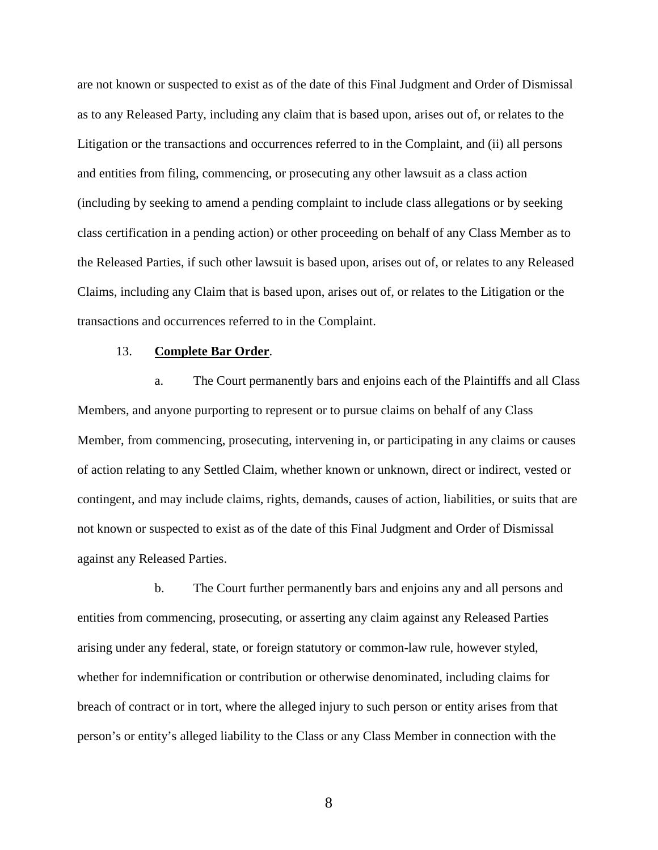are not known or suspected to exist as of the date of this Final Judgment and Order of Dismissal as to any Released Party, including any claim that is based upon, arises out of, or relates to the Litigation or the transactions and occurrences referred to in the Complaint, and (ii) all persons and entities from filing, commencing, or prosecuting any other lawsuit as a class action (including by seeking to amend a pending complaint to include class allegations or by seeking class certification in a pending action) or other proceeding on behalf of any Class Member as to the Released Parties, if such other lawsuit is based upon, arises out of, or relates to any Released Claims, including any Claim that is based upon, arises out of, or relates to the Litigation or the transactions and occurrences referred to in the Complaint.

## 13. **Complete Bar Order**.

a. The Court permanently bars and enjoins each of the Plaintiffs and all Class Members, and anyone purporting to represent or to pursue claims on behalf of any Class Member, from commencing, prosecuting, intervening in, or participating in any claims or causes of action relating to any Settled Claim, whether known or unknown, direct or indirect, vested or contingent, and may include claims, rights, demands, causes of action, liabilities, or suits that are not known or suspected to exist as of the date of this Final Judgment and Order of Dismissal against any Released Parties.

b. The Court further permanently bars and enjoins any and all persons and entities from commencing, prosecuting, or asserting any claim against any Released Parties arising under any federal, state, or foreign statutory or common-law rule, however styled, whether for indemnification or contribution or otherwise denominated, including claims for breach of contract or in tort, where the alleged injury to such person or entity arises from that person's or entity's alleged liability to the Class or any Class Member in connection with the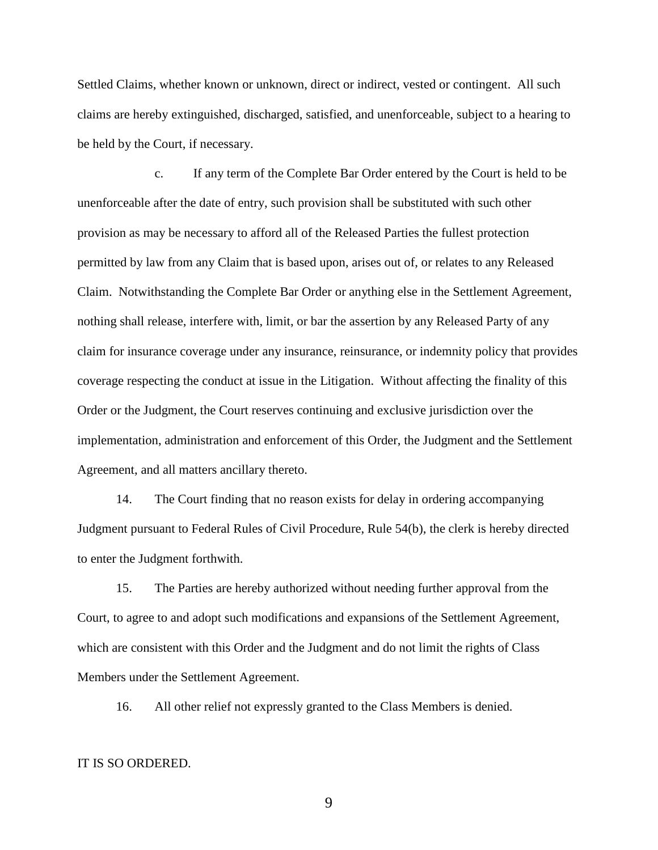Settled Claims, whether known or unknown, direct or indirect, vested or contingent. All such claims are hereby extinguished, discharged, satisfied, and unenforceable, subject to a hearing to be held by the Court, if necessary.

c. If any term of the Complete Bar Order entered by the Court is held to be unenforceable after the date of entry, such provision shall be substituted with such other provision as may be necessary to afford all of the Released Parties the fullest protection permitted by law from any Claim that is based upon, arises out of, or relates to any Released Claim. Notwithstanding the Complete Bar Order or anything else in the Settlement Agreement, nothing shall release, interfere with, limit, or bar the assertion by any Released Party of any claim for insurance coverage under any insurance, reinsurance, or indemnity policy that provides coverage respecting the conduct at issue in the Litigation. Without affecting the finality of this Order or the Judgment, the Court reserves continuing and exclusive jurisdiction over the implementation, administration and enforcement of this Order, the Judgment and the Settlement Agreement, and all matters ancillary thereto.

14. The Court finding that no reason exists for delay in ordering accompanying Judgment pursuant to Federal Rules of Civil Procedure, Rule 54(b), the clerk is hereby directed to enter the Judgment forthwith.

15. The Parties are hereby authorized without needing further approval from the Court, to agree to and adopt such modifications and expansions of the Settlement Agreement, which are consistent with this Order and the Judgment and do not limit the rights of Class Members under the Settlement Agreement.

16. All other relief not expressly granted to the Class Members is denied.

## IT IS SO ORDERED.